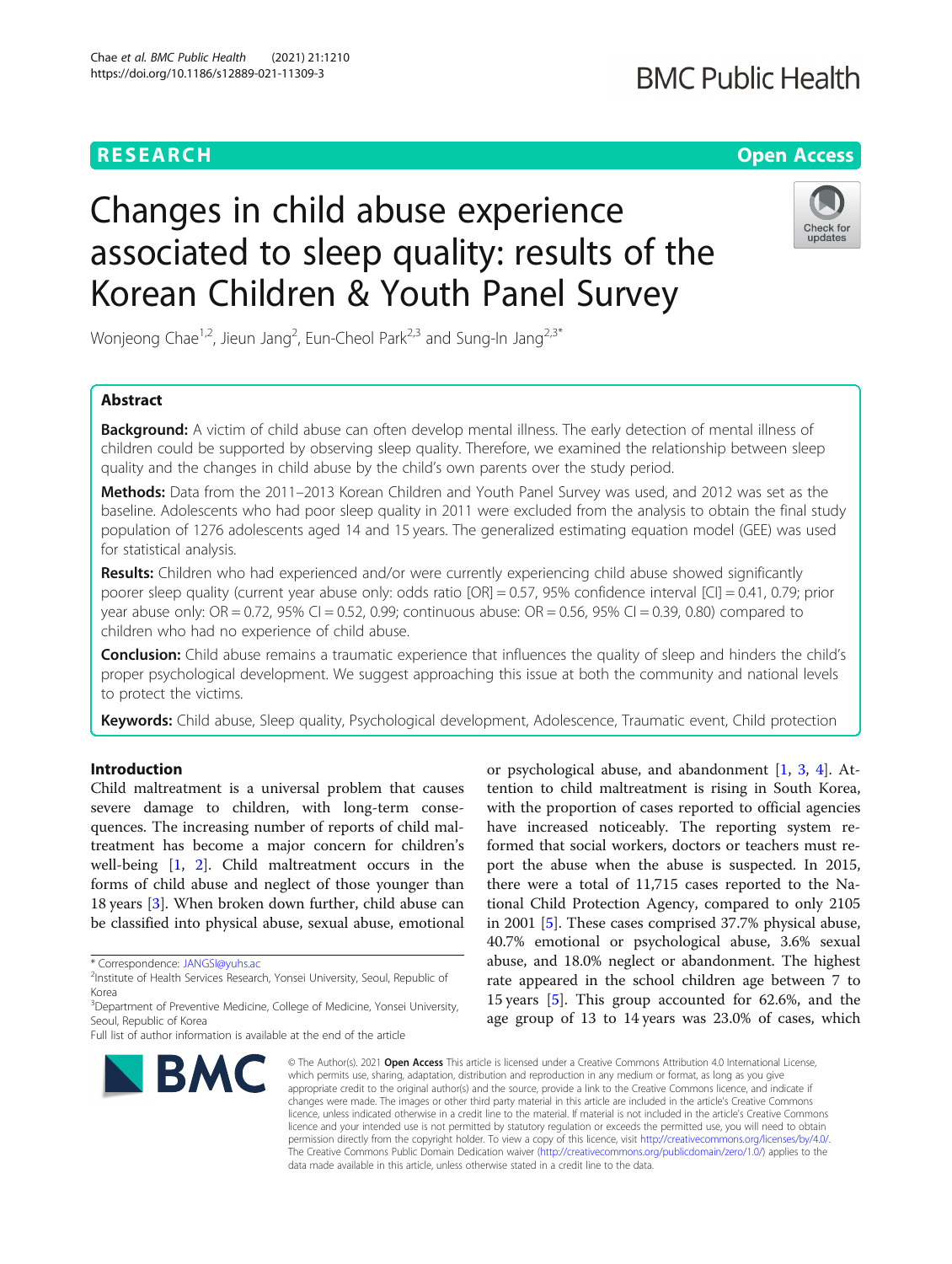# **BMC Public Health**

# **RESEARCH CHE Open Access**

# Changes in child abuse experience associated to sleep quality: results of the Korean Children & Youth Panel Survey



Wonjeong Chae<sup>1,2</sup>, Jieun Jang<sup>2</sup>, Eun-Cheol Park<sup>2,3</sup> and Sung-In Jang<sup>2,3\*</sup>

# Abstract

**Background:** A victim of child abuse can often develop mental illness. The early detection of mental illness of children could be supported by observing sleep quality. Therefore, we examined the relationship between sleep quality and the changes in child abuse by the child's own parents over the study period.

Methods: Data from the 2011–2013 Korean Children and Youth Panel Survey was used, and 2012 was set as the baseline. Adolescents who had poor sleep quality in 2011 were excluded from the analysis to obtain the final study population of 1276 adolescents aged 14 and 15 years. The generalized estimating equation model (GEE) was used for statistical analysis.

Results: Children who had experienced and/or were currently experiencing child abuse showed significantly poorer sleep quality (current year abuse only: odds ratio [OR] = 0.57, 95% confidence interval [CI] = 0.41, 0.79; prior year abuse only: OR = 0.72, 95% CI = 0.52, 0.99; continuous abuse: OR = 0.56, 95% CI = 0.39, 0.80) compared to children who had no experience of child abuse.

**Conclusion:** Child abuse remains a traumatic experience that influences the quality of sleep and hinders the child's proper psychological development. We suggest approaching this issue at both the community and national levels to protect the victims.

Keywords: Child abuse, Sleep quality, Psychological development, Adolescence, Traumatic event, Child protection

# Introduction

Child maltreatment is a universal problem that causes severe damage to children, with long-term consequences. The increasing number of reports of child maltreatment has become a major concern for children's well-being [[1](#page-8-0), [2](#page-8-0)]. Child maltreatment occurs in the forms of child abuse and neglect of those younger than 18 years [\[3](#page-8-0)]. When broken down further, child abuse can be classified into physical abuse, sexual abuse, emotional

Full list of author information is available at the end of the article



or psychological abuse, and abandonment [\[1](#page-8-0), [3](#page-8-0), [4](#page-8-0)]. Attention to child maltreatment is rising in South Korea, with the proportion of cases reported to official agencies have increased noticeably. The reporting system reformed that social workers, doctors or teachers must report the abuse when the abuse is suspected. In 2015, there were a total of 11,715 cases reported to the National Child Protection Agency, compared to only 2105 in 2001 [\[5](#page-8-0)]. These cases comprised 37.7% physical abuse, 40.7% emotional or psychological abuse, 3.6% sexual abuse, and 18.0% neglect or abandonment. The highest rate appeared in the school children age between 7 to 15 years [\[5](#page-8-0)]. This group accounted for 62.6%, and the age group of 13 to 14 years was 23.0% of cases, which

© The Author(s), 2021 **Open Access** This article is licensed under a Creative Commons Attribution 4.0 International License, which permits use, sharing, adaptation, distribution and reproduction in any medium or format, as long as you give appropriate credit to the original author(s) and the source, provide a link to the Creative Commons licence, and indicate if changes were made. The images or other third party material in this article are included in the article's Creative Commons licence, unless indicated otherwise in a credit line to the material. If material is not included in the article's Creative Commons licence and your intended use is not permitted by statutory regulation or exceeds the permitted use, you will need to obtain permission directly from the copyright holder. To view a copy of this licence, visit [http://creativecommons.org/licenses/by/4.0/.](http://creativecommons.org/licenses/by/4.0/) The Creative Commons Public Domain Dedication waiver [\(http://creativecommons.org/publicdomain/zero/1.0/](http://creativecommons.org/publicdomain/zero/1.0/)) applies to the data made available in this article, unless otherwise stated in a credit line to the data.

<sup>\*</sup> Correspondence: [JANGSI@yuhs.ac](mailto:JANGSI@yuhs.ac) <sup>2</sup>

<sup>&</sup>lt;sup>2</sup>Institute of Health Services Research, Yonsei University, Seoul, Republic of Korea

<sup>&</sup>lt;sup>3</sup>Department of Preventive Medicine, College of Medicine, Yonsei University, Seoul, Republic of Korea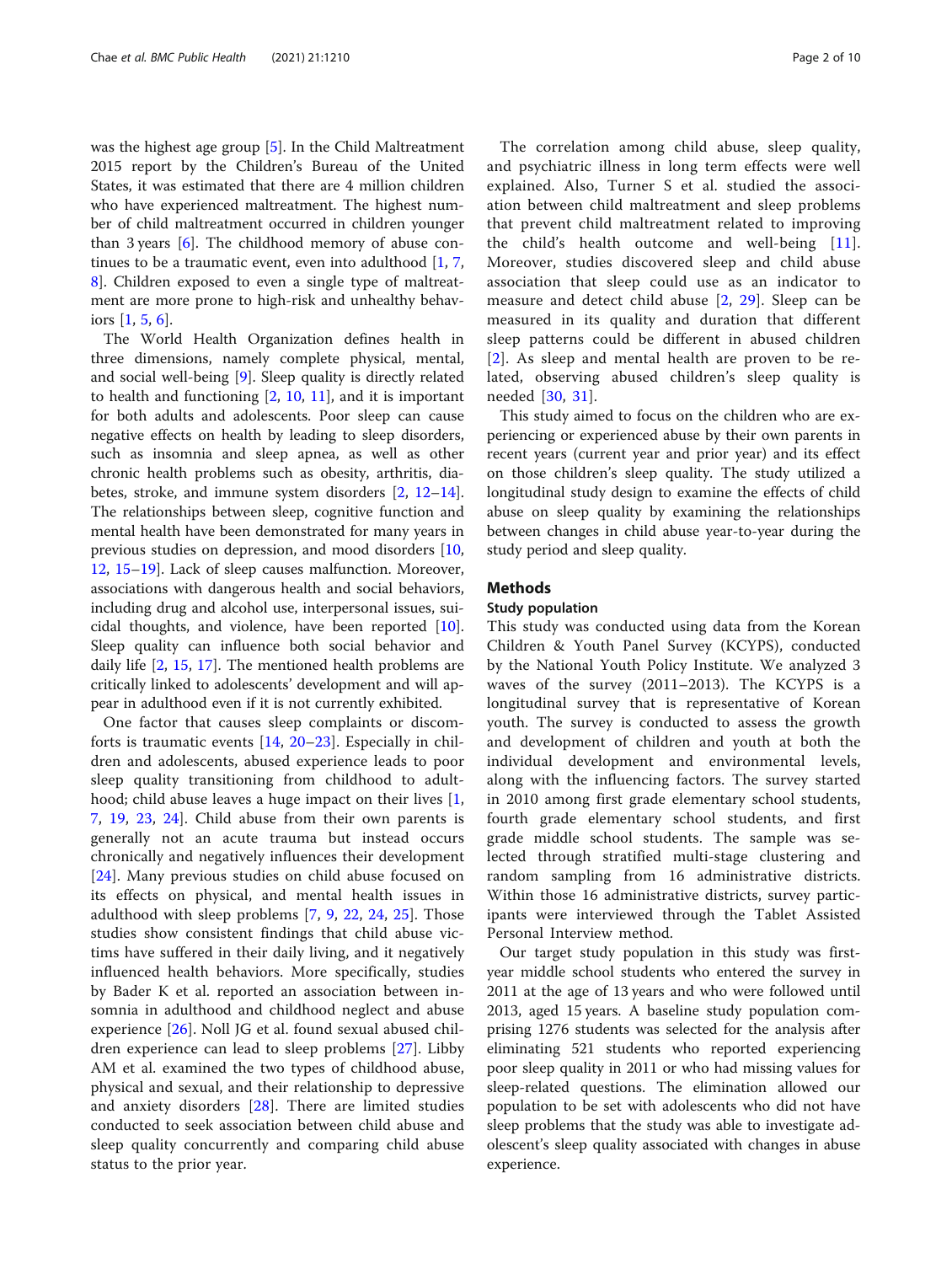was the highest age group [[5\]](#page-8-0). In the Child Maltreatment 2015 report by the Children's Bureau of the United States, it was estimated that there are 4 million children who have experienced maltreatment. The highest number of child maltreatment occurred in children younger than 3 years [\[6](#page-8-0)]. The childhood memory of abuse continues to be a traumatic event, even into adulthood [\[1](#page-8-0), [7](#page-8-0), [8\]](#page-8-0). Children exposed to even a single type of maltreatment are more prone to high-risk and unhealthy behaviors [[1,](#page-8-0) [5,](#page-8-0) [6\]](#page-8-0).

The World Health Organization defines health in three dimensions, namely complete physical, mental, and social well-being [[9\]](#page-8-0). Sleep quality is directly related to health and functioning [\[2](#page-8-0), [10,](#page-8-0) [11\]](#page-8-0), and it is important for both adults and adolescents. Poor sleep can cause negative effects on health by leading to sleep disorders, such as insomnia and sleep apnea, as well as other chronic health problems such as obesity, arthritis, diabetes, stroke, and immune system disorders [[2](#page-8-0), [12](#page-8-0)–[14](#page-8-0)]. The relationships between sleep, cognitive function and mental health have been demonstrated for many years in previous studies on depression, and mood disorders [[10](#page-8-0), [12,](#page-8-0) [15](#page-8-0)–[19\]](#page-8-0). Lack of sleep causes malfunction. Moreover, associations with dangerous health and social behaviors, including drug and alcohol use, interpersonal issues, suicidal thoughts, and violence, have been reported [\[10](#page-8-0)]. Sleep quality can influence both social behavior and daily life [[2,](#page-8-0) [15,](#page-8-0) [17](#page-8-0)]. The mentioned health problems are critically linked to adolescents' development and will appear in adulthood even if it is not currently exhibited.

One factor that causes sleep complaints or discomforts is traumatic events [\[14,](#page-8-0) [20](#page-8-0)–[23](#page-8-0)]. Especially in children and adolescents, abused experience leads to poor sleep quality transitioning from childhood to adulthood; child abuse leaves a huge impact on their lives [\[1](#page-8-0), [7,](#page-8-0) [19,](#page-8-0) [23](#page-8-0), [24](#page-8-0)]. Child abuse from their own parents is generally not an acute trauma but instead occurs chronically and negatively influences their development [[24\]](#page-8-0). Many previous studies on child abuse focused on its effects on physical, and mental health issues in adulthood with sleep problems [[7,](#page-8-0) [9](#page-8-0), [22,](#page-8-0) [24](#page-8-0), [25](#page-9-0)]. Those studies show consistent findings that child abuse victims have suffered in their daily living, and it negatively influenced health behaviors. More specifically, studies by Bader K et al. reported an association between insomnia in adulthood and childhood neglect and abuse experience [[26\]](#page-9-0). Noll JG et al. found sexual abused children experience can lead to sleep problems [\[27](#page-9-0)]. Libby AM et al. examined the two types of childhood abuse, physical and sexual, and their relationship to depressive and anxiety disorders [[28\]](#page-9-0). There are limited studies conducted to seek association between child abuse and sleep quality concurrently and comparing child abuse status to the prior year.

The correlation among child abuse, sleep quality, and psychiatric illness in long term effects were well explained. Also, Turner S et al. studied the association between child maltreatment and sleep problems that prevent child maltreatment related to improving the child's health outcome and well-being [[11](#page-8-0)]. Moreover, studies discovered sleep and child abuse association that sleep could use as an indicator to measure and detect child abuse [[2](#page-8-0), [29\]](#page-9-0). Sleep can be measured in its quality and duration that different sleep patterns could be different in abused children [[2](#page-8-0)]. As sleep and mental health are proven to be related, observing abused children's sleep quality is needed [[30](#page-9-0), [31](#page-9-0)].

This study aimed to focus on the children who are experiencing or experienced abuse by their own parents in recent years (current year and prior year) and its effect on those children's sleep quality. The study utilized a longitudinal study design to examine the effects of child abuse on sleep quality by examining the relationships between changes in child abuse year-to-year during the study period and sleep quality.

## **Methods**

# Study population

This study was conducted using data from the Korean Children & Youth Panel Survey (KCYPS), conducted by the National Youth Policy Institute. We analyzed 3 waves of the survey (2011–2013). The KCYPS is a longitudinal survey that is representative of Korean youth. The survey is conducted to assess the growth and development of children and youth at both the individual development and environmental levels, along with the influencing factors. The survey started in 2010 among first grade elementary school students, fourth grade elementary school students, and first grade middle school students. The sample was selected through stratified multi-stage clustering and random sampling from 16 administrative districts. Within those 16 administrative districts, survey participants were interviewed through the Tablet Assisted Personal Interview method.

Our target study population in this study was firstyear middle school students who entered the survey in 2011 at the age of 13 years and who were followed until 2013, aged 15 years. A baseline study population comprising 1276 students was selected for the analysis after eliminating 521 students who reported experiencing poor sleep quality in 2011 or who had missing values for sleep-related questions. The elimination allowed our population to be set with adolescents who did not have sleep problems that the study was able to investigate adolescent's sleep quality associated with changes in abuse experience.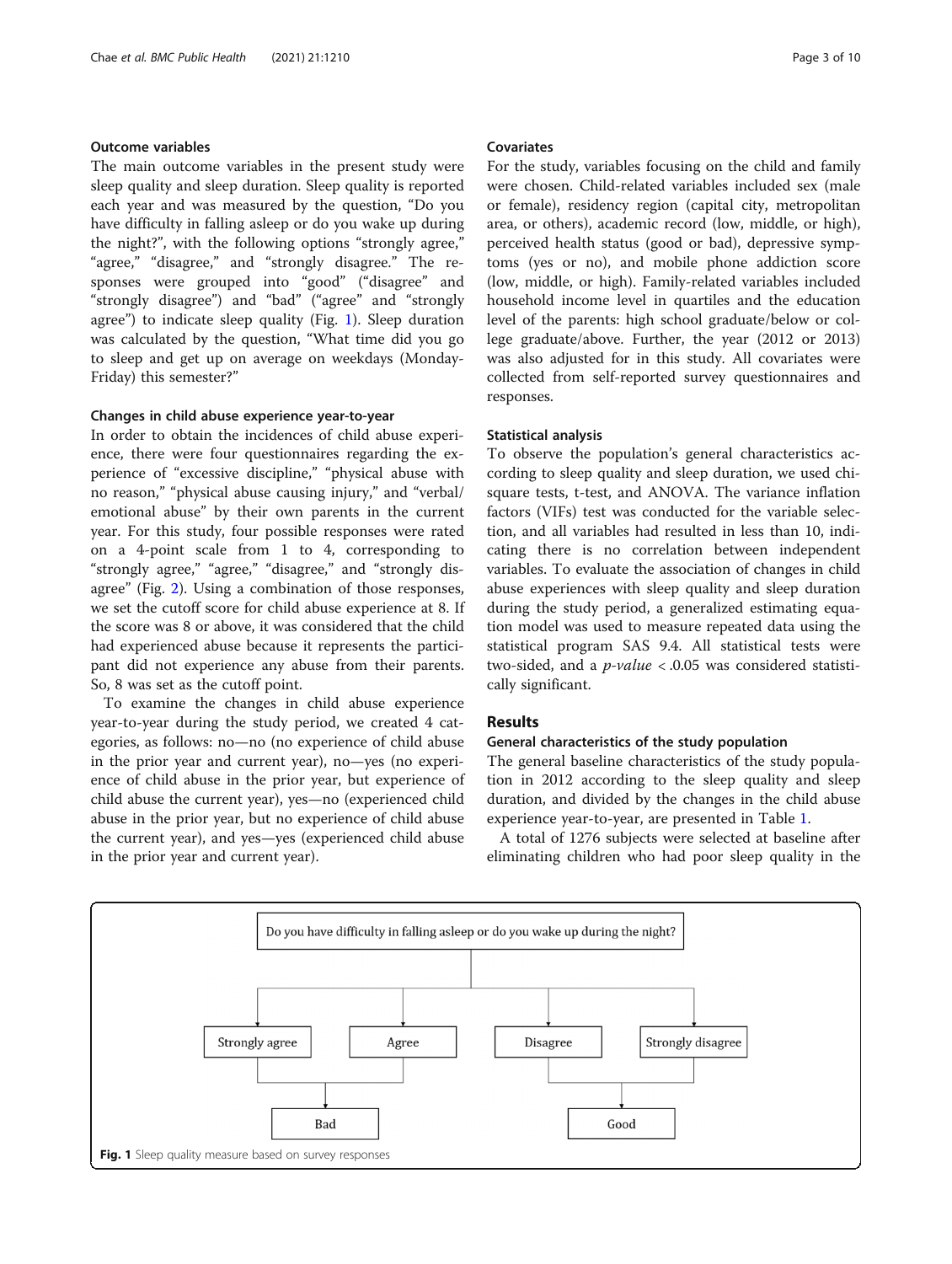# Outcome variables

The main outcome variables in the present study were sleep quality and sleep duration. Sleep quality is reported each year and was measured by the question, "Do you have difficulty in falling asleep or do you wake up during the night?", with the following options "strongly agree," "agree," "disagree," and "strongly disagree." The responses were grouped into "good" ("disagree" and "strongly disagree") and "bad" ("agree" and "strongly agree") to indicate sleep quality (Fig. 1). Sleep duration was calculated by the question, "What time did you go to sleep and get up on average on weekdays (Monday-Friday) this semester?"

## Changes in child abuse experience year-to-year

In order to obtain the incidences of child abuse experience, there were four questionnaires regarding the experience of "excessive discipline," "physical abuse with no reason," "physical abuse causing injury," and "verbal/ emotional abuse" by their own parents in the current year. For this study, four possible responses were rated on a 4-point scale from 1 to 4, corresponding to "strongly agree," "agree," "disagree," and "strongly disagree" (Fig. [2\)](#page-3-0). Using a combination of those responses, we set the cutoff score for child abuse experience at 8. If the score was 8 or above, it was considered that the child had experienced abuse because it represents the participant did not experience any abuse from their parents. So, 8 was set as the cutoff point.

To examine the changes in child abuse experience year-to-year during the study period, we created 4 categories, as follows: no—no (no experience of child abuse in the prior year and current year), no—yes (no experience of child abuse in the prior year, but experience of child abuse the current year), yes—no (experienced child abuse in the prior year, but no experience of child abuse the current year), and yes—yes (experienced child abuse in the prior year and current year).

# Covariates

For the study, variables focusing on the child and family were chosen. Child-related variables included sex (male or female), residency region (capital city, metropolitan area, or others), academic record (low, middle, or high), perceived health status (good or bad), depressive symptoms (yes or no), and mobile phone addiction score (low, middle, or high). Family-related variables included household income level in quartiles and the education level of the parents: high school graduate/below or college graduate/above. Further, the year (2012 or 2013) was also adjusted for in this study. All covariates were collected from self-reported survey questionnaires and responses.

#### Statistical analysis

To observe the population's general characteristics according to sleep quality and sleep duration, we used chisquare tests, t-test, and ANOVA. The variance inflation factors (VIFs) test was conducted for the variable selection, and all variables had resulted in less than 10, indicating there is no correlation between independent variables. To evaluate the association of changes in child abuse experiences with sleep quality and sleep duration during the study period, a generalized estimating equation model was used to measure repeated data using the statistical program SAS 9.4. All statistical tests were two-sided, and a *p-value*  $< .0.05$  was considered statistically significant.

## Results

## General characteristics of the study population

The general baseline characteristics of the study population in 2012 according to the sleep quality and sleep duration, and divided by the changes in the child abuse experience year-to-year, are presented in Table [1](#page-4-0).

A total of 1276 subjects were selected at baseline after eliminating children who had poor sleep quality in the

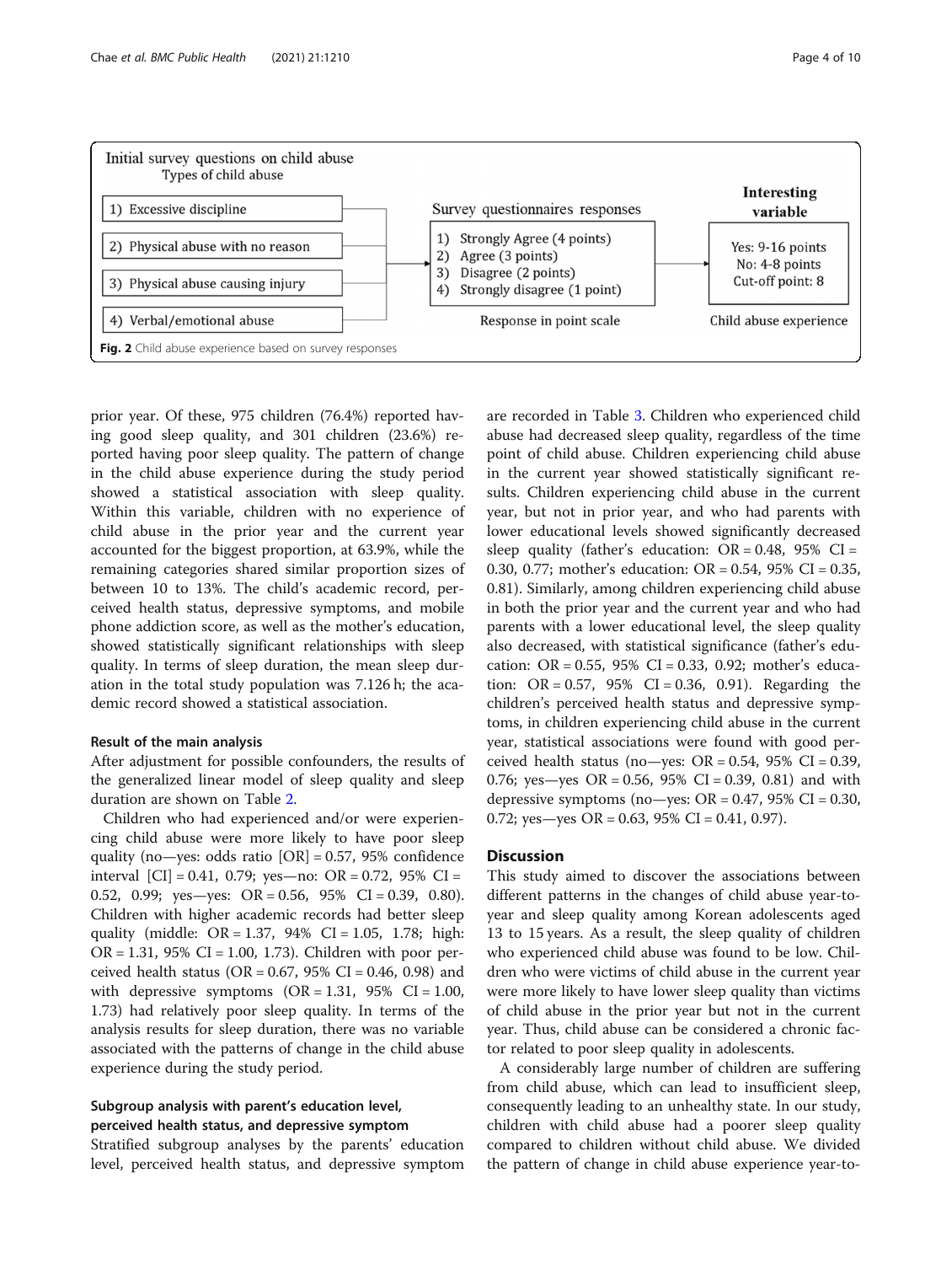<span id="page-3-0"></span>

prior year. Of these, 975 children (76.4%) reported having good sleep quality, and 301 children (23.6%) reported having poor sleep quality. The pattern of change in the child abuse experience during the study period showed a statistical association with sleep quality. Within this variable, children with no experience of child abuse in the prior year and the current year accounted for the biggest proportion, at 63.9%, while the remaining categories shared similar proportion sizes of between 10 to 13%. The child's academic record, perceived health status, depressive symptoms, and mobile phone addiction score, as well as the mother's education, showed statistically significant relationships with sleep quality. In terms of sleep duration, the mean sleep duration in the total study population was 7.126 h; the academic record showed a statistical association.

# Result of the main analysis

After adjustment for possible confounders, the results of the generalized linear model of sleep quality and sleep duration are shown on Table [2.](#page-5-0)

Children who had experienced and/or were experiencing child abuse were more likely to have poor sleep quality (no—yes: odds ratio  $[OR] = 0.57$ , 95% confidence interval  $|CI| = 0.41, 0.79$ ; yes—no:  $OR = 0.72, 95\% CI =$ 0.52, 0.99; yes—yes: OR = 0.56, 95% CI = 0.39, 0.80). Children with higher academic records had better sleep quality (middle:  $OR = 1.37$ ,  $94\%$   $CI = 1.05$ , 1.78; high:  $OR = 1.31$ , 95% CI = 1.00, 1.73). Children with poor perceived health status (OR =  $0.67$ , 95% CI = 0.46, 0.98) and with depressive symptoms  $(OR = 1.31, 95\% \text{ CI} = 1.00,$ 1.73) had relatively poor sleep quality. In terms of the analysis results for sleep duration, there was no variable associated with the patterns of change in the child abuse experience during the study period.

# Subgroup analysis with parent's education level, perceived health status, and depressive symptom

Stratified subgroup analyses by the parents' education level, perceived health status, and depressive symptom

are recorded in Table [3.](#page-6-0) Children who experienced child abuse had decreased sleep quality, regardless of the time point of child abuse. Children experiencing child abuse in the current year showed statistically significant results. Children experiencing child abuse in the current year, but not in prior year, and who had parents with lower educational levels showed significantly decreased sleep quality (father's education:  $OR = 0.48$ , 95%  $CI =$ 0.30, 0.77; mother's education: OR = 0.54, 95% CI = 0.35, 0.81). Similarly, among children experiencing child abuse in both the prior year and the current year and who had parents with a lower educational level, the sleep quality also decreased, with statistical significance (father's education:  $OR = 0.55$ ,  $95\%$   $CI = 0.33$ ,  $0.92$ ; mother's education:  $OR = 0.57$ ,  $95\%$   $CI = 0.36$ , 0.91). Regarding the children's perceived health status and depressive symptoms, in children experiencing child abuse in the current year, statistical associations were found with good perceived health status (no—yes:  $OR = 0.54$ , 95% CI = 0.39, 0.76; yes—yes  $OR = 0.56$ , 95%  $CI = 0.39$ , 0.81) and with depressive symptoms (no—yes:  $OR = 0.47$ , 95%  $CI = 0.30$ , 0.72; yes—yes OR = 0.63, 95% CI = 0.41, 0.97).

#### **Discussion**

This study aimed to discover the associations between different patterns in the changes of child abuse year-toyear and sleep quality among Korean adolescents aged 13 to 15 years. As a result, the sleep quality of children who experienced child abuse was found to be low. Children who were victims of child abuse in the current year were more likely to have lower sleep quality than victims of child abuse in the prior year but not in the current year. Thus, child abuse can be considered a chronic factor related to poor sleep quality in adolescents.

A considerably large number of children are suffering from child abuse, which can lead to insufficient sleep, consequently leading to an unhealthy state. In our study, children with child abuse had a poorer sleep quality compared to children without child abuse. We divided the pattern of change in child abuse experience year-to-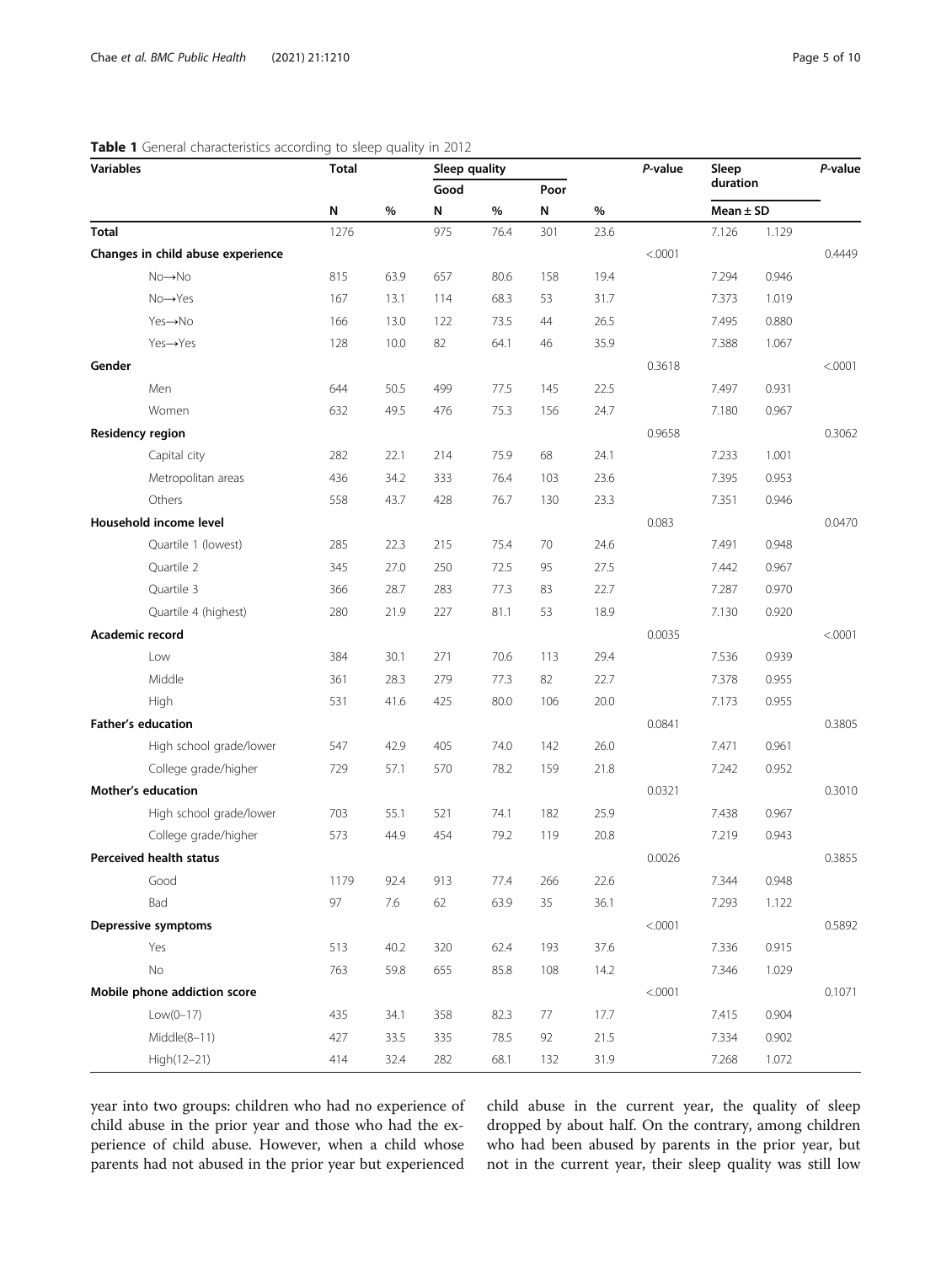# <span id="page-4-0"></span>Table 1 General characteristics according to sleep quality in 2012

| duration<br>Good<br>Poor<br>N<br>%<br>N<br>$\%$<br>N<br>$\%$<br>Mean $\pm$ SD<br>975<br>7.126<br><b>Total</b><br>1276<br>76.4<br>23.6<br>1.129<br>301<br>< .0001<br>Changes in child abuse experience<br>$No \rightarrow No$<br>815<br>63.9<br>657<br>80.6<br>158<br>19.4<br>7.294<br>0.946<br>68.3<br>31.7<br>$No \rightarrow Yes$<br>167<br>13.1<br>114<br>53<br>7.373<br>1.019<br>Yes→No<br>166<br>13.0<br>122<br>73.5<br>44<br>26.5<br>7.495<br>0.880<br>Yes→Yes<br>128<br>10.0<br>82<br>64.1<br>46<br>35.9<br>7.388<br>1.067<br>Gender<br>0.3618<br>22.5<br>Men<br>644<br>50.5<br>499<br>77.5<br>145<br>7.497<br>0.931<br>Women<br>632<br>49.5<br>75.3<br>24.7<br>0.967<br>476<br>156<br>7.180<br>0.9658<br><b>Residency region</b><br>22.1<br>68<br>24.1<br>7.233<br>1.001<br>Capital city<br>282<br>214<br>75.9 | Variables | <b>Total</b> |  | Sleep quality |  |  |  | P-value | Sleep |  | P-value |
|------------------------------------------------------------------------------------------------------------------------------------------------------------------------------------------------------------------------------------------------------------------------------------------------------------------------------------------------------------------------------------------------------------------------------------------------------------------------------------------------------------------------------------------------------------------------------------------------------------------------------------------------------------------------------------------------------------------------------------------------------------------------------------------------------------------------|-----------|--------------|--|---------------|--|--|--|---------|-------|--|---------|
|                                                                                                                                                                                                                                                                                                                                                                                                                                                                                                                                                                                                                                                                                                                                                                                                                        |           |              |  |               |  |  |  |         |       |  |         |
|                                                                                                                                                                                                                                                                                                                                                                                                                                                                                                                                                                                                                                                                                                                                                                                                                        |           |              |  |               |  |  |  |         |       |  |         |
|                                                                                                                                                                                                                                                                                                                                                                                                                                                                                                                                                                                                                                                                                                                                                                                                                        |           |              |  |               |  |  |  |         |       |  |         |
|                                                                                                                                                                                                                                                                                                                                                                                                                                                                                                                                                                                                                                                                                                                                                                                                                        |           |              |  |               |  |  |  |         |       |  | 0.4449  |
|                                                                                                                                                                                                                                                                                                                                                                                                                                                                                                                                                                                                                                                                                                                                                                                                                        |           |              |  |               |  |  |  |         |       |  |         |
|                                                                                                                                                                                                                                                                                                                                                                                                                                                                                                                                                                                                                                                                                                                                                                                                                        |           |              |  |               |  |  |  |         |       |  |         |
|                                                                                                                                                                                                                                                                                                                                                                                                                                                                                                                                                                                                                                                                                                                                                                                                                        |           |              |  |               |  |  |  |         |       |  |         |
|                                                                                                                                                                                                                                                                                                                                                                                                                                                                                                                                                                                                                                                                                                                                                                                                                        |           |              |  |               |  |  |  |         |       |  |         |
|                                                                                                                                                                                                                                                                                                                                                                                                                                                                                                                                                                                                                                                                                                                                                                                                                        |           |              |  |               |  |  |  |         |       |  | < .0001 |
|                                                                                                                                                                                                                                                                                                                                                                                                                                                                                                                                                                                                                                                                                                                                                                                                                        |           |              |  |               |  |  |  |         |       |  |         |
|                                                                                                                                                                                                                                                                                                                                                                                                                                                                                                                                                                                                                                                                                                                                                                                                                        |           |              |  |               |  |  |  |         |       |  |         |
|                                                                                                                                                                                                                                                                                                                                                                                                                                                                                                                                                                                                                                                                                                                                                                                                                        |           |              |  |               |  |  |  |         |       |  | 0.3062  |
|                                                                                                                                                                                                                                                                                                                                                                                                                                                                                                                                                                                                                                                                                                                                                                                                                        |           |              |  |               |  |  |  |         |       |  |         |
| Metropolitan areas<br>436<br>34.2<br>23.6<br>0.953<br>333<br>76.4<br>103<br>7.395                                                                                                                                                                                                                                                                                                                                                                                                                                                                                                                                                                                                                                                                                                                                      |           |              |  |               |  |  |  |         |       |  |         |
| Others<br>558<br>43.7<br>428<br>76.7<br>130<br>23.3<br>7.351<br>0.946                                                                                                                                                                                                                                                                                                                                                                                                                                                                                                                                                                                                                                                                                                                                                  |           |              |  |               |  |  |  |         |       |  |         |
| Household income level<br>0.083                                                                                                                                                                                                                                                                                                                                                                                                                                                                                                                                                                                                                                                                                                                                                                                        |           |              |  |               |  |  |  |         |       |  | 0.0470  |
| Quartile 1 (lowest)<br>22.3<br>215<br>75.4<br>24.6<br>7.491<br>0.948<br>285<br>70                                                                                                                                                                                                                                                                                                                                                                                                                                                                                                                                                                                                                                                                                                                                      |           |              |  |               |  |  |  |         |       |  |         |
| Quartile 2<br>27.0<br>250<br>72.5<br>27.5<br>345<br>95<br>7.442<br>0.967                                                                                                                                                                                                                                                                                                                                                                                                                                                                                                                                                                                                                                                                                                                                               |           |              |  |               |  |  |  |         |       |  |         |
| Quartile 3<br>366<br>28.7<br>283<br>77.3<br>83<br>22.7<br>7.287<br>0.970                                                                                                                                                                                                                                                                                                                                                                                                                                                                                                                                                                                                                                                                                                                                               |           |              |  |               |  |  |  |         |       |  |         |
| Quartile 4 (highest)<br>280<br>21.9<br>227<br>81.1<br>53<br>18.9<br>7.130<br>0.920                                                                                                                                                                                                                                                                                                                                                                                                                                                                                                                                                                                                                                                                                                                                     |           |              |  |               |  |  |  |         |       |  |         |
| 0.0035<br>Academic record                                                                                                                                                                                                                                                                                                                                                                                                                                                                                                                                                                                                                                                                                                                                                                                              |           |              |  |               |  |  |  |         |       |  | < .0001 |
| 29.4<br>384<br>30.1<br>271<br>70.6<br>113<br>7.536<br>0.939<br>Low                                                                                                                                                                                                                                                                                                                                                                                                                                                                                                                                                                                                                                                                                                                                                     |           |              |  |               |  |  |  |         |       |  |         |
| Middle<br>28.3<br>279<br>77.3<br>82<br>22.7<br>7.378<br>0.955<br>361                                                                                                                                                                                                                                                                                                                                                                                                                                                                                                                                                                                                                                                                                                                                                   |           |              |  |               |  |  |  |         |       |  |         |
| 531<br>80.0<br>106<br>20.0<br>0.955<br>High<br>41.6<br>425<br>7.173                                                                                                                                                                                                                                                                                                                                                                                                                                                                                                                                                                                                                                                                                                                                                    |           |              |  |               |  |  |  |         |       |  |         |
| <b>Father's education</b><br>0.0841                                                                                                                                                                                                                                                                                                                                                                                                                                                                                                                                                                                                                                                                                                                                                                                    |           |              |  |               |  |  |  |         |       |  | 0.3805  |
| High school grade/lower<br>42.9<br>405<br>74.0<br>26.0<br>7.471<br>0.961<br>547<br>142                                                                                                                                                                                                                                                                                                                                                                                                                                                                                                                                                                                                                                                                                                                                 |           |              |  |               |  |  |  |         |       |  |         |
| College grade/higher<br>78.2<br>729<br>57.1<br>570<br>159<br>21.8<br>7.242<br>0.952                                                                                                                                                                                                                                                                                                                                                                                                                                                                                                                                                                                                                                                                                                                                    |           |              |  |               |  |  |  |         |       |  |         |
| Mother's education<br>0.0321                                                                                                                                                                                                                                                                                                                                                                                                                                                                                                                                                                                                                                                                                                                                                                                           |           |              |  |               |  |  |  |         |       |  | 0.3010  |
| High school grade/lower<br>703<br>55.1<br>521<br>74.1<br>182<br>25.9<br>7.438<br>0.967                                                                                                                                                                                                                                                                                                                                                                                                                                                                                                                                                                                                                                                                                                                                 |           |              |  |               |  |  |  |         |       |  |         |
| 573<br>44.9<br>454<br>79.2<br>119<br>20.8<br>7.219<br>0.943<br>College grade/higher                                                                                                                                                                                                                                                                                                                                                                                                                                                                                                                                                                                                                                                                                                                                    |           |              |  |               |  |  |  |         |       |  |         |
| <b>Perceived health status</b><br>0.0026                                                                                                                                                                                                                                                                                                                                                                                                                                                                                                                                                                                                                                                                                                                                                                               |           |              |  |               |  |  |  |         |       |  | 0.3855  |
| Good<br>1179<br>92.4<br>913<br>77.4<br>266<br>22.6<br>7.344<br>0.948                                                                                                                                                                                                                                                                                                                                                                                                                                                                                                                                                                                                                                                                                                                                                   |           |              |  |               |  |  |  |         |       |  |         |
| Bad<br>97<br>7.6<br>62<br>63.9<br>35<br>36.1<br>7.293<br>1.122                                                                                                                                                                                                                                                                                                                                                                                                                                                                                                                                                                                                                                                                                                                                                         |           |              |  |               |  |  |  |         |       |  |         |
| Depressive symptoms<br>< .0001                                                                                                                                                                                                                                                                                                                                                                                                                                                                                                                                                                                                                                                                                                                                                                                         |           |              |  |               |  |  |  |         |       |  | 0.5892  |
| 0.915<br>Yes<br>513<br>40.2<br>320<br>62.4<br>193<br>37.6<br>7.336                                                                                                                                                                                                                                                                                                                                                                                                                                                                                                                                                                                                                                                                                                                                                     |           |              |  |               |  |  |  |         |       |  |         |
| No<br>763<br>59.8<br>655<br>85.8<br>14.2<br>108<br>7.346<br>1.029                                                                                                                                                                                                                                                                                                                                                                                                                                                                                                                                                                                                                                                                                                                                                      |           |              |  |               |  |  |  |         |       |  |         |
| Mobile phone addiction score<br>< .0001                                                                                                                                                                                                                                                                                                                                                                                                                                                                                                                                                                                                                                                                                                                                                                                |           |              |  |               |  |  |  |         |       |  | 0.1071  |
| $Low(0-17)$<br>435<br>34.1<br>358<br>82.3<br>77<br>17.7<br>7.415<br>0.904                                                                                                                                                                                                                                                                                                                                                                                                                                                                                                                                                                                                                                                                                                                                              |           |              |  |               |  |  |  |         |       |  |         |
| Middle(8-11)<br>427<br>33.5<br>335<br>78.5<br>92<br>21.5<br>7.334<br>0.902                                                                                                                                                                                                                                                                                                                                                                                                                                                                                                                                                                                                                                                                                                                                             |           |              |  |               |  |  |  |         |       |  |         |
| High(12-21)<br>282<br>414<br>32.4<br>68.1<br>132<br>31.9<br>7.268<br>1.072                                                                                                                                                                                                                                                                                                                                                                                                                                                                                                                                                                                                                                                                                                                                             |           |              |  |               |  |  |  |         |       |  |         |

year into two groups: children who had no experience of child abuse in the prior year and those who had the experience of child abuse. However, when a child whose parents had not abused in the prior year but experienced

child abuse in the current year, the quality of sleep dropped by about half. On the contrary, among children who had been abused by parents in the prior year, but not in the current year, their sleep quality was still low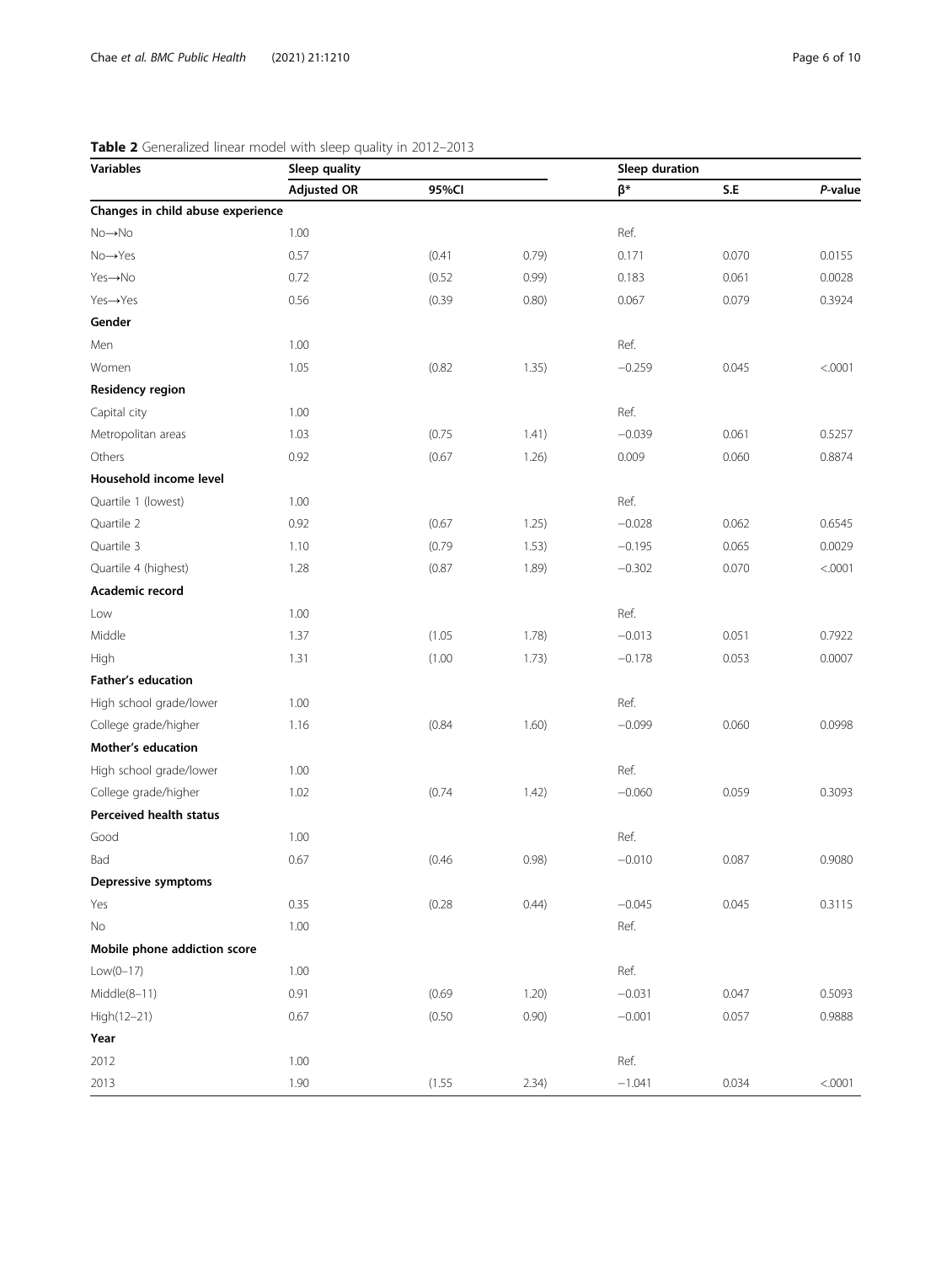| <b>Variables</b>                  | <br>$rac{1}{2}$<br>Sleep quality |        |       | Sleep duration |             |         |  |
|-----------------------------------|----------------------------------|--------|-------|----------------|-------------|---------|--|
|                                   | <b>Adjusted OR</b>               | 95%CI  |       | β*             | ${\sf S.E}$ | P-value |  |
| Changes in child abuse experience |                                  |        |       |                |             |         |  |
| No→No                             | 1.00                             |        |       | Ref.           |             |         |  |
| $No \rightarrow Yes$              | 0.57                             | (0.41) | 0.79) | 0.171          | 0.070       | 0.0155  |  |
| Yes→No                            | 0.72                             | (0.52) | 0.99) | 0.183          | 0.061       | 0.0028  |  |
| Yes→Yes                           | 0.56                             | (0.39) | 0.80) | 0.067          | 0.079       | 0.3924  |  |
| Gender                            |                                  |        |       |                |             |         |  |
| Men                               | 1.00                             |        |       | Ref.           |             |         |  |
| Women                             | 1.05                             | (0.82) | 1.35) | $-0.259$       | 0.045       | < .0001 |  |
| <b>Residency region</b>           |                                  |        |       |                |             |         |  |
| Capital city                      | 1.00                             |        |       | Ref.           |             |         |  |
| Metropolitan areas                | 1.03                             | (0.75) | 1.41) | $-0.039$       | 0.061       | 0.5257  |  |
| Others                            | 0.92                             | (0.67) | 1.26) | 0.009          | 0.060       | 0.8874  |  |
| Household income level            |                                  |        |       |                |             |         |  |
| Quartile 1 (lowest)               | 1.00                             |        |       | Ref.           |             |         |  |
| Quartile 2                        | 0.92                             | (0.67) | 1.25) | $-0.028$       | 0.062       | 0.6545  |  |
| Quartile 3                        | 1.10                             | (0.79) | 1.53) | $-0.195$       | 0.065       | 0.0029  |  |
| Quartile 4 (highest)              | 1.28                             | (0.87) | 1.89) | $-0.302$       | 0.070       | < .0001 |  |
| Academic record                   |                                  |        |       |                |             |         |  |
| Low                               | 1.00                             |        |       | Ref.           |             |         |  |
| Middle                            | 1.37                             | (1.05) | 1.78) | $-0.013$       | 0.051       | 0.7922  |  |
| High                              | 1.31                             | (1.00) | 1.73) | $-0.178$       | 0.053       | 0.0007  |  |
| <b>Father's education</b>         |                                  |        |       |                |             |         |  |
| High school grade/lower           | 1.00                             |        |       | Ref.           |             |         |  |
| College grade/higher              | 1.16                             | (0.84) | 1.60) | $-0.099$       | 0.060       | 0.0998  |  |
| Mother's education                |                                  |        |       |                |             |         |  |
| High school grade/lower           | 1.00                             |        |       | Ref.           |             |         |  |
| College grade/higher              | 1.02                             | (0.74) | 1.42) | $-0.060$       | 0.059       | 0.3093  |  |
| Perceived health status           |                                  |        |       |                |             |         |  |
| Good                              | 1.00                             |        |       | Ref.           |             |         |  |
| Bad                               | 0.67                             | (0.46) | 0.98) | $-0.010$       | 0.087       | 0.9080  |  |
| Depressive symptoms               |                                  |        |       |                |             |         |  |
| Yes                               | 0.35                             | (0.28) | 0.44) | $-0.045$       | 0.045       | 0.3115  |  |
| No                                | 1.00                             |        |       | Ref.           |             |         |  |
| Mobile phone addiction score      |                                  |        |       |                |             |         |  |
| $Low(0-17)$                       | 1.00                             |        |       | Ref.           |             |         |  |
| Middle(8-11)                      | 0.91                             | (0.69) | 1.20) | $-0.031$       | 0.047       | 0.5093  |  |
| High(12-21)                       | 0.67                             | (0.50) | 0.90) | $-0.001$       | 0.057       | 0.9888  |  |
| Year                              |                                  |        |       |                |             |         |  |
| 2012                              | 1.00                             |        |       | Ref.           |             |         |  |
| 2013                              | 1.90                             | (1.55) | 2.34) | $-1.041$       | 0.034       | < 0.001 |  |

# <span id="page-5-0"></span>Table 2 Generalized linear model with sleep quality in 2012-2013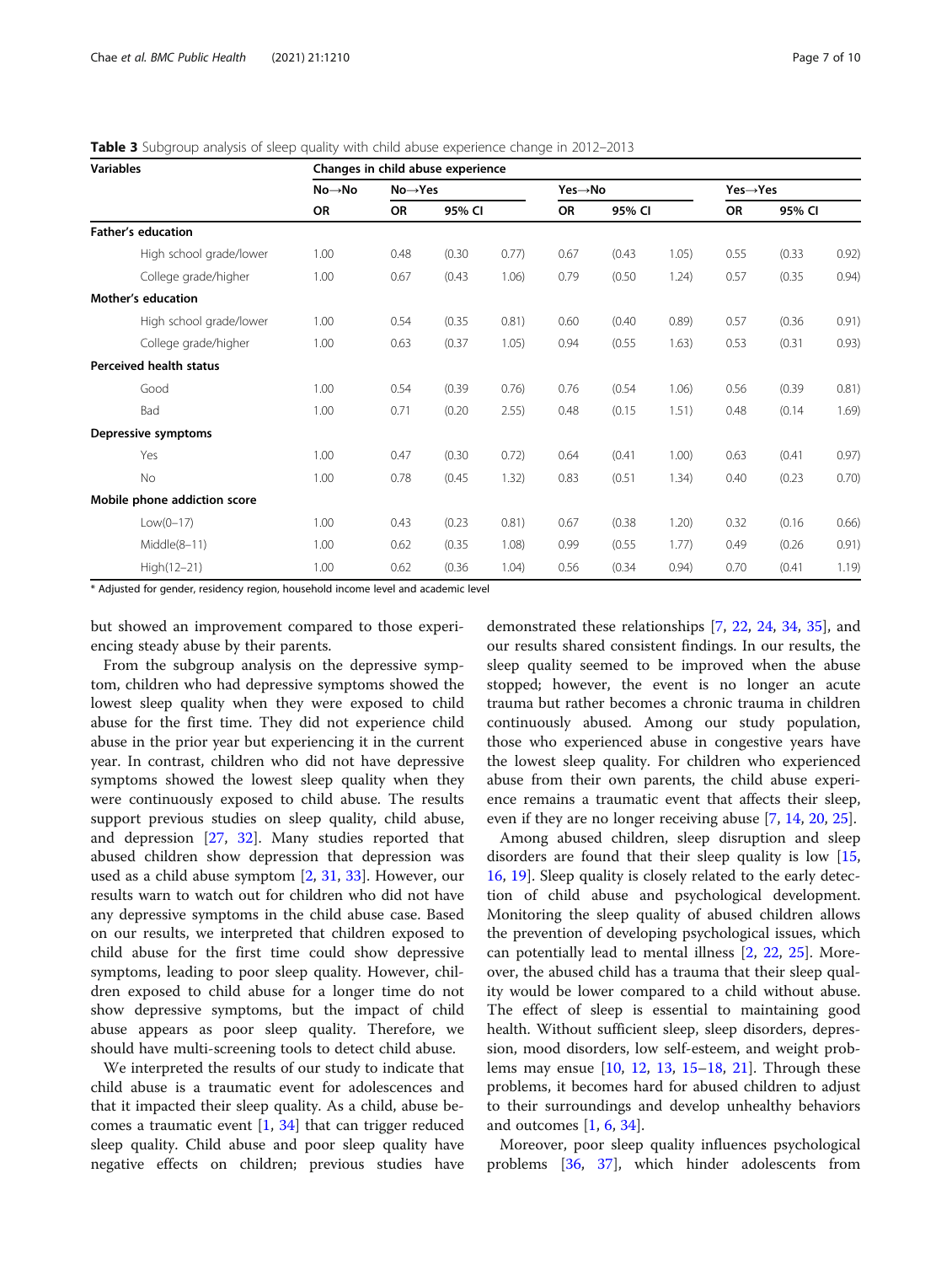<span id="page-6-0"></span>

|  | Table 3 Subgroup analysis of sleep quality with child abuse experience change in 2012-2013 |  |  |  |  |  |  |
|--|--------------------------------------------------------------------------------------------|--|--|--|--|--|--|
|--|--------------------------------------------------------------------------------------------|--|--|--|--|--|--|

| <b>Variables</b>             | Changes in child abuse experience |                      |        |       |        |        |       |                       |        |       |
|------------------------------|-----------------------------------|----------------------|--------|-------|--------|--------|-------|-----------------------|--------|-------|
|                              | $No \rightarrow No$               | $No \rightarrow Yes$ |        |       | Yes→No |        |       | $Yes \rightarrow Yes$ |        |       |
|                              | OR                                | OR                   | 95% CI |       | OR     | 95% CI |       | OR                    | 95% CI |       |
| <b>Father's education</b>    |                                   |                      |        |       |        |        |       |                       |        |       |
| High school grade/lower      | 1.00                              | 0.48                 | (0.30) | 0.77) | 0.67   | (0.43) | 1.05) | 0.55                  | (0.33) | 0.92) |
| College grade/higher         | 1.00                              | 0.67                 | (0.43) | 1.06) | 0.79   | (0.50) | 1.24) | 0.57                  | (0.35) | 0.94) |
| <b>Mother's education</b>    |                                   |                      |        |       |        |        |       |                       |        |       |
| High school grade/lower      | 1.00                              | 0.54                 | (0.35) | 0.81) | 0.60   | (0.40) | 0.89) | 0.57                  | (0.36) | 0.91) |
| College grade/higher         | 1.00                              | 0.63                 | (0.37) | 1.05) | 0.94   | (0.55) | 1.63) | 0.53                  | (0.31) | 0.93) |
| Perceived health status      |                                   |                      |        |       |        |        |       |                       |        |       |
| Good                         | 1.00                              | 0.54                 | (0.39) | 0.76) | 0.76   | (0.54) | 1.06) | 0.56                  | (0.39) | 0.81) |
| Bad                          | 1.00                              | 0.71                 | (0.20) | 2.55) | 0.48   | (0.15) | 1.51) | 0.48                  | (0.14) | 1.69) |
| Depressive symptoms          |                                   |                      |        |       |        |        |       |                       |        |       |
| Yes                          | 1.00                              | 0.47                 | (0.30) | 0.72) | 0.64   | (0.41) | 1.00) | 0.63                  | (0.41) | 0.97) |
| No                           | 1.00                              | 0.78                 | (0.45) | 1.32) | 0.83   | (0.51) | 1.34) | 0.40                  | (0.23) | 0.70) |
| Mobile phone addiction score |                                   |                      |        |       |        |        |       |                       |        |       |
| $Low(0-17)$                  | 1.00                              | 0.43                 | (0.23) | 0.81) | 0.67   | (0.38) | 1.20) | 0.32                  | (0.16) | 0.66) |
| $Midde(8-11)$                | 1.00                              | 0.62                 | (0.35) | 1.08  | 0.99   | (0.55) | 1.77) | 0.49                  | (0.26) | 0.91) |
| High(12-21)                  | 1.00                              | 0.62                 | (0.36) | 1.04) | 0.56   | (0.34) | 0.94) | 0.70                  | (0.41) | 1.19) |

\* Adjusted for gender, residency region, household income level and academic level

but showed an improvement compared to those experiencing steady abuse by their parents.

From the subgroup analysis on the depressive symptom, children who had depressive symptoms showed the lowest sleep quality when they were exposed to child abuse for the first time. They did not experience child abuse in the prior year but experiencing it in the current year. In contrast, children who did not have depressive symptoms showed the lowest sleep quality when they were continuously exposed to child abuse. The results support previous studies on sleep quality, child abuse, and depression [[27](#page-9-0), [32](#page-9-0)]. Many studies reported that abused children show depression that depression was used as a child abuse symptom [\[2,](#page-8-0) [31](#page-9-0), [33](#page-9-0)]. However, our results warn to watch out for children who did not have any depressive symptoms in the child abuse case. Based on our results, we interpreted that children exposed to child abuse for the first time could show depressive symptoms, leading to poor sleep quality. However, children exposed to child abuse for a longer time do not show depressive symptoms, but the impact of child abuse appears as poor sleep quality. Therefore, we should have multi-screening tools to detect child abuse.

We interpreted the results of our study to indicate that child abuse is a traumatic event for adolescences and that it impacted their sleep quality. As a child, abuse becomes a traumatic event  $[1, 34]$  $[1, 34]$  $[1, 34]$  that can trigger reduced sleep quality. Child abuse and poor sleep quality have negative effects on children; previous studies have

demonstrated these relationships [[7,](#page-8-0) [22](#page-8-0), [24,](#page-8-0) [34](#page-9-0), [35\]](#page-9-0), and our results shared consistent findings. In our results, the sleep quality seemed to be improved when the abuse stopped; however, the event is no longer an acute trauma but rather becomes a chronic trauma in children continuously abused. Among our study population, those who experienced abuse in congestive years have the lowest sleep quality. For children who experienced abuse from their own parents, the child abuse experience remains a traumatic event that affects their sleep, even if they are no longer receiving abuse [\[7](#page-8-0), [14](#page-8-0), [20](#page-8-0), [25\]](#page-9-0).

Among abused children, sleep disruption and sleep disorders are found that their sleep quality is low [[15](#page-8-0), [16,](#page-8-0) [19\]](#page-8-0). Sleep quality is closely related to the early detection of child abuse and psychological development. Monitoring the sleep quality of abused children allows the prevention of developing psychological issues, which can potentially lead to mental illness [[2,](#page-8-0) [22,](#page-8-0) [25](#page-9-0)]. Moreover, the abused child has a trauma that their sleep quality would be lower compared to a child without abuse. The effect of sleep is essential to maintaining good health. Without sufficient sleep, sleep disorders, depression, mood disorders, low self-esteem, and weight problems may ensue [[10,](#page-8-0) [12,](#page-8-0) [13,](#page-8-0) [15](#page-8-0)–[18](#page-8-0), [21](#page-8-0)]. Through these problems, it becomes hard for abused children to adjust to their surroundings and develop unhealthy behaviors and outcomes [\[1](#page-8-0), [6](#page-8-0), [34](#page-9-0)].

Moreover, poor sleep quality influences psychological problems [[36,](#page-9-0) [37\]](#page-9-0), which hinder adolescents from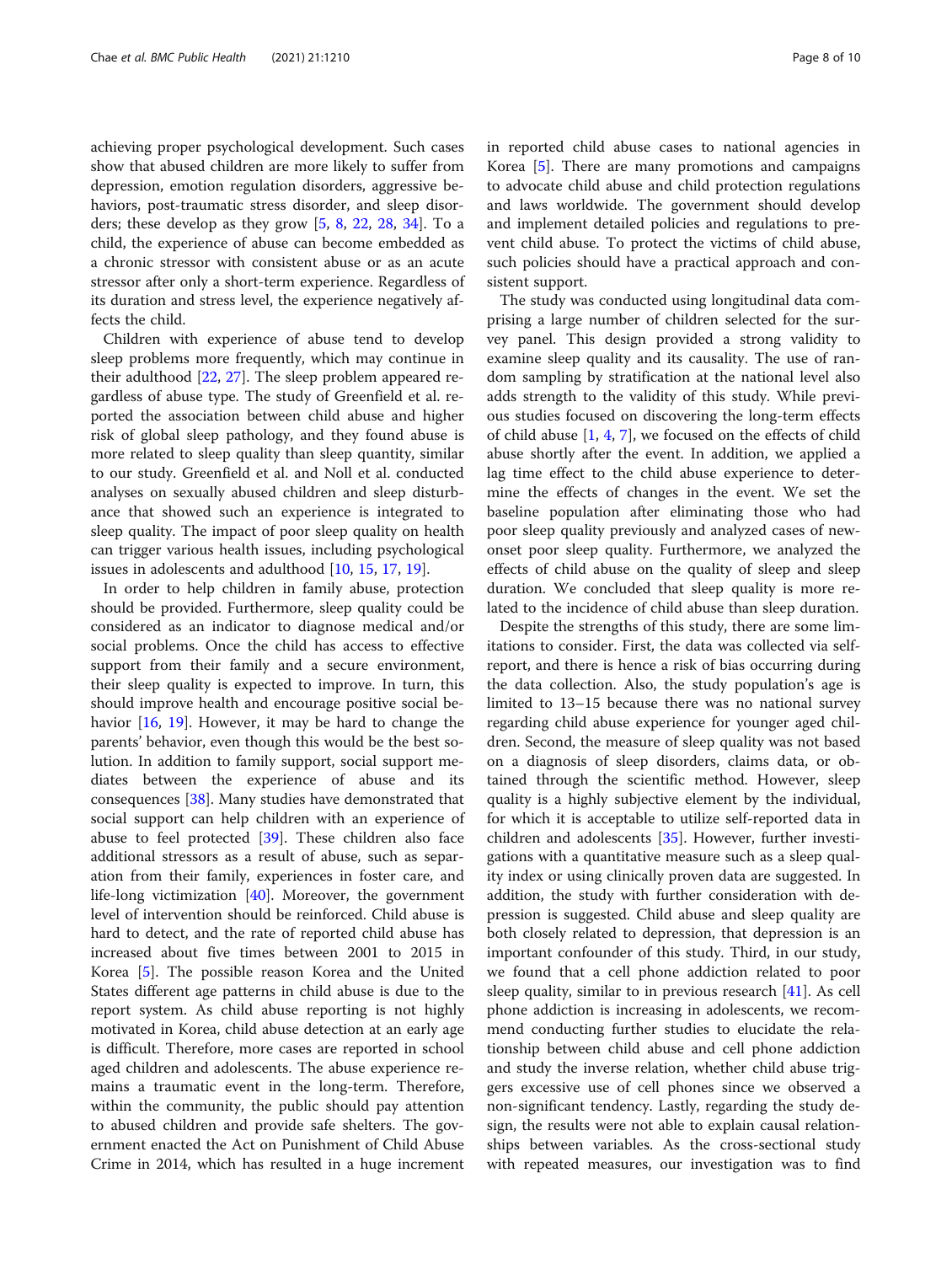achieving proper psychological development. Such cases show that abused children are more likely to suffer from depression, emotion regulation disorders, aggressive behaviors, post-traumatic stress disorder, and sleep disorders; these develop as they grow [\[5](#page-8-0), [8,](#page-8-0) [22,](#page-8-0) [28](#page-9-0), [34\]](#page-9-0). To a child, the experience of abuse can become embedded as a chronic stressor with consistent abuse or as an acute stressor after only a short-term experience. Regardless of its duration and stress level, the experience negatively affects the child.

Children with experience of abuse tend to develop sleep problems more frequently, which may continue in their adulthood [\[22](#page-8-0), [27](#page-9-0)]. The sleep problem appeared regardless of abuse type. The study of Greenfield et al. reported the association between child abuse and higher risk of global sleep pathology, and they found abuse is more related to sleep quality than sleep quantity, similar to our study. Greenfield et al. and Noll et al. conducted analyses on sexually abused children and sleep disturbance that showed such an experience is integrated to sleep quality. The impact of poor sleep quality on health can trigger various health issues, including psychological issues in adolescents and adulthood [\[10](#page-8-0), [15,](#page-8-0) [17,](#page-8-0) [19\]](#page-8-0).

In order to help children in family abuse, protection should be provided. Furthermore, sleep quality could be considered as an indicator to diagnose medical and/or social problems. Once the child has access to effective support from their family and a secure environment, their sleep quality is expected to improve. In turn, this should improve health and encourage positive social behavior [\[16](#page-8-0), [19\]](#page-8-0). However, it may be hard to change the parents' behavior, even though this would be the best solution. In addition to family support, social support mediates between the experience of abuse and its consequences [[38\]](#page-9-0). Many studies have demonstrated that social support can help children with an experience of abuse to feel protected [[39\]](#page-9-0). These children also face additional stressors as a result of abuse, such as separation from their family, experiences in foster care, and life-long victimization [\[40](#page-9-0)]. Moreover, the government level of intervention should be reinforced. Child abuse is hard to detect, and the rate of reported child abuse has increased about five times between 2001 to 2015 in Korea [\[5\]](#page-8-0). The possible reason Korea and the United States different age patterns in child abuse is due to the report system. As child abuse reporting is not highly motivated in Korea, child abuse detection at an early age is difficult. Therefore, more cases are reported in school aged children and adolescents. The abuse experience remains a traumatic event in the long-term. Therefore, within the community, the public should pay attention to abused children and provide safe shelters. The government enacted the Act on Punishment of Child Abuse Crime in 2014, which has resulted in a huge increment in reported child abuse cases to national agencies in Korea [[5](#page-8-0)]. There are many promotions and campaigns to advocate child abuse and child protection regulations and laws worldwide. The government should develop and implement detailed policies and regulations to prevent child abuse. To protect the victims of child abuse, such policies should have a practical approach and consistent support.

The study was conducted using longitudinal data comprising a large number of children selected for the survey panel. This design provided a strong validity to examine sleep quality and its causality. The use of random sampling by stratification at the national level also adds strength to the validity of this study. While previous studies focused on discovering the long-term effects of child abuse [[1,](#page-8-0) [4,](#page-8-0) [7\]](#page-8-0), we focused on the effects of child abuse shortly after the event. In addition, we applied a lag time effect to the child abuse experience to determine the effects of changes in the event. We set the baseline population after eliminating those who had poor sleep quality previously and analyzed cases of newonset poor sleep quality. Furthermore, we analyzed the effects of child abuse on the quality of sleep and sleep duration. We concluded that sleep quality is more related to the incidence of child abuse than sleep duration.

Despite the strengths of this study, there are some limitations to consider. First, the data was collected via selfreport, and there is hence a risk of bias occurring during the data collection. Also, the study population's age is limited to 13–15 because there was no national survey regarding child abuse experience for younger aged children. Second, the measure of sleep quality was not based on a diagnosis of sleep disorders, claims data, or obtained through the scientific method. However, sleep quality is a highly subjective element by the individual, for which it is acceptable to utilize self-reported data in children and adolescents [[35\]](#page-9-0). However, further investigations with a quantitative measure such as a sleep quality index or using clinically proven data are suggested. In addition, the study with further consideration with depression is suggested. Child abuse and sleep quality are both closely related to depression, that depression is an important confounder of this study. Third, in our study, we found that a cell phone addiction related to poor sleep quality, similar to in previous research [[41](#page-9-0)]. As cell phone addiction is increasing in adolescents, we recommend conducting further studies to elucidate the relationship between child abuse and cell phone addiction and study the inverse relation, whether child abuse triggers excessive use of cell phones since we observed a non-significant tendency. Lastly, regarding the study design, the results were not able to explain causal relationships between variables. As the cross-sectional study with repeated measures, our investigation was to find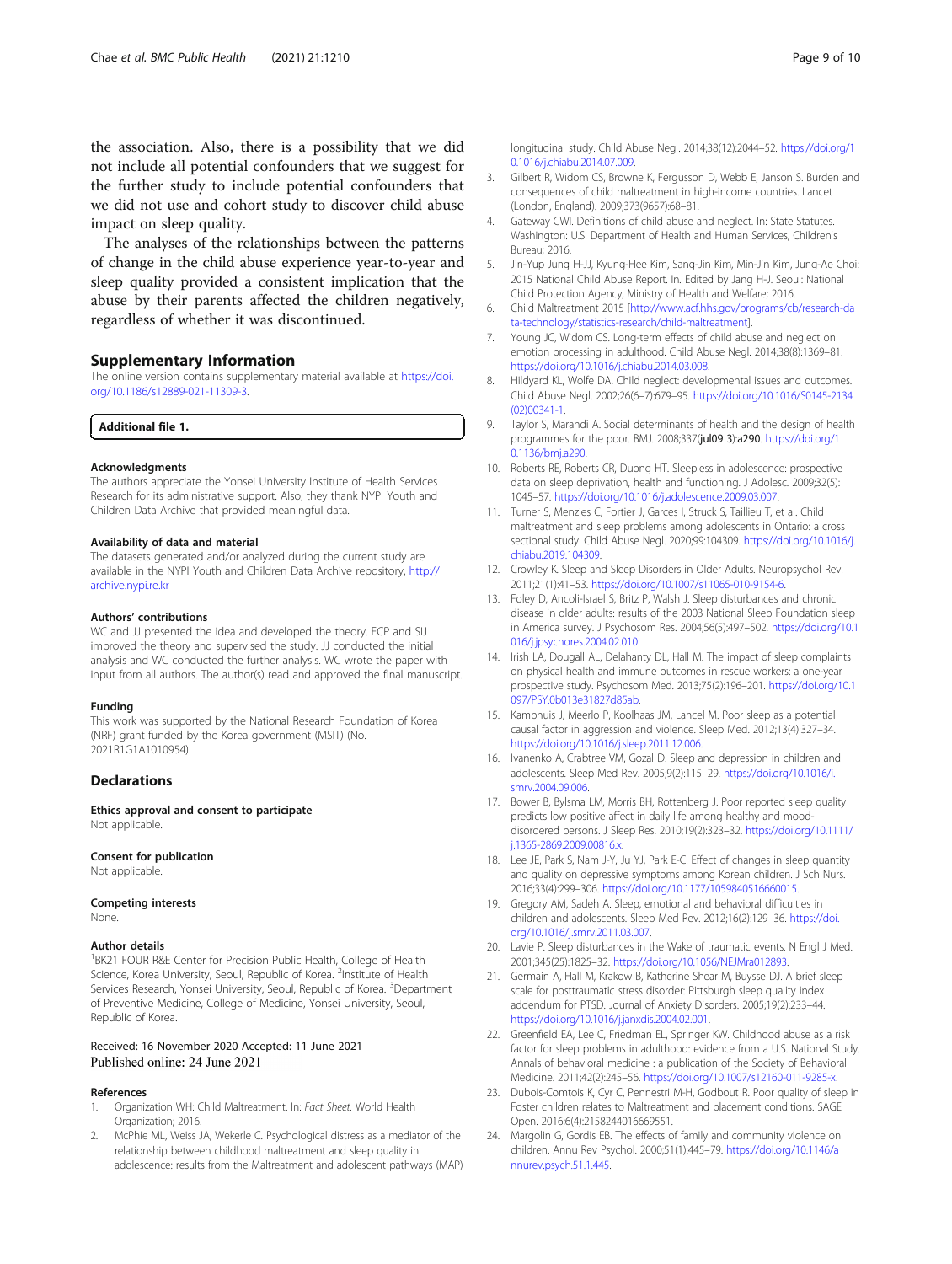<span id="page-8-0"></span>the association. Also, there is a possibility that we did not include all potential confounders that we suggest for the further study to include potential confounders that we did not use and cohort study to discover child abuse impact on sleep quality.

The analyses of the relationships between the patterns of change in the child abuse experience year-to-year and sleep quality provided a consistent implication that the abuse by their parents affected the children negatively, regardless of whether it was discontinued.

#### Supplementary Information

The online version contains supplementary material available at [https://doi.](https://doi.org/10.1186/s12889-021-11309-3) [org/10.1186/s12889-021-11309-3.](https://doi.org/10.1186/s12889-021-11309-3)

Additional file 1.

#### Acknowledgments

The authors appreciate the Yonsei University Institute of Health Services Research for its administrative support. Also, they thank NYPI Youth and Children Data Archive that provided meaningful data.

#### Availability of data and material

The datasets generated and/or analyzed during the current study are available in the NYPI Youth and Children Data Archive repository, [http://](http://archive.nypi.re.kr) [archive.nypi.re.kr](http://archive.nypi.re.kr)

#### Authors' contributions

WC and JJ presented the idea and developed the theory. ECP and SIJ improved the theory and supervised the study. JJ conducted the initial analysis and WC conducted the further analysis. WC wrote the paper with input from all authors. The author(s) read and approved the final manuscript.

#### Funding

This work was supported by the National Research Foundation of Korea (NRF) grant funded by the Korea government (MSIT) (No. 2021R1G1A1010954).

#### **Declarations**

Ethics approval and consent to participate Not applicable

# Consent for publication

Not applicable.

#### Competing interests None.

#### Author details

<sup>1</sup>BK21 FOUR R&E Center for Precision Public Health, College of Health Science, Korea University, Seoul, Republic of Korea. <sup>2</sup>Institute of Health Services Research, Yonsei University, Seoul, Republic of Korea. <sup>3</sup>Department of Preventive Medicine, College of Medicine, Yonsei University, Seoul, Republic of Korea.

#### Received: 16 November 2020 Accepted: 11 June 2021 Published online: 24 June 2021

#### References

- Organization WH: Child Maltreatment. In: Fact Sheet. World Health Organization; 2016.
- McPhie ML, Weiss JA, Wekerle C. Psychological distress as a mediator of the relationship between childhood maltreatment and sleep quality in adolescence: results from the Maltreatment and adolescent pathways (MAP)

longitudinal study. Child Abuse Negl. 2014;38(12):2044–52. [https://doi.org/1](https://doi.org/10.1016/j.chiabu.2014.07.009) [0.1016/j.chiabu.2014.07.009.](https://doi.org/10.1016/j.chiabu.2014.07.009)

- 3. Gilbert R, Widom CS, Browne K, Fergusson D, Webb E, Janson S. Burden and consequences of child maltreatment in high-income countries. Lancet (London, England). 2009;373(9657):68–81.
- 4. Gateway CWI. Definitions of child abuse and neglect. In: State Statutes. Washington: U.S. Department of Health and Human Services, Children's Bureau; 2016.
- 5. Jin-Yup Jung H-JJ, Kyung-Hee Kim, Sang-Jin Kim, Min-Jin Kim, Jung-Ae Choi: 2015 National Child Abuse Report. In. Edited by Jang H-J. Seoul: National Child Protection Agency, Ministry of Health and Welfare; 2016.
- 6. Child Maltreatment 2015 [[http://www.acf.hhs.gov/programs/cb/research-da](http://www.acf.hhs.gov/programs/cb/research-data-technology/statistics-research/child-maltreatment) [ta-technology/statistics-research/child-maltreatment\]](http://www.acf.hhs.gov/programs/cb/research-data-technology/statistics-research/child-maltreatment).
- 7. Young JC, Widom CS. Long-term effects of child abuse and neglect on emotion processing in adulthood. Child Abuse Negl. 2014;38(8):1369–81. [https://doi.org/10.1016/j.chiabu.2014.03.008.](https://doi.org/10.1016/j.chiabu.2014.03.008)
- 8. Hildyard KL, Wolfe DA. Child neglect: developmental issues and outcomes. Child Abuse Negl. 2002;26(6–7):679–95. [https://doi.org/10.1016/S0145-2134](https://doi.org/10.1016/S0145-2134(02)00341-1) [\(02\)00341-1.](https://doi.org/10.1016/S0145-2134(02)00341-1)
- 9. Taylor S, Marandi A. Social determinants of health and the design of health programmes for the poor. BMJ. 2008;337(jul09 3):a290. [https://doi.org/1](https://doi.org/10.1136/bmj.a290) [0.1136/bmj.a290](https://doi.org/10.1136/bmj.a290).
- 10. Roberts RE, Roberts CR, Duong HT. Sleepless in adolescence: prospective data on sleep deprivation, health and functioning. J Adolesc. 2009;32(5): 1045–57. <https://doi.org/10.1016/j.adolescence.2009.03.007>.
- 11. Turner S, Menzies C, Fortier J, Garces I, Struck S, Taillieu T, et al. Child maltreatment and sleep problems among adolescents in Ontario: a cross sectional study. Child Abuse Negl. 2020;99:104309. [https://doi.org/10.1016/j.](https://doi.org/10.1016/j.chiabu.2019.104309) [chiabu.2019.104309](https://doi.org/10.1016/j.chiabu.2019.104309).
- 12. Crowley K. Sleep and Sleep Disorders in Older Adults. Neuropsychol Rev. 2011;21(1):41–53. [https://doi.org/10.1007/s11065-010-9154-6.](https://doi.org/10.1007/s11065-010-9154-6)
- 13. Foley D, Ancoli-Israel S, Britz P, Walsh J. Sleep disturbances and chronic disease in older adults: results of the 2003 National Sleep Foundation sleep in America survey. J Psychosom Res. 2004;56(5):497–502. [https://doi.org/10.1](https://doi.org/10.1016/j.jpsychores.2004.02.010) [016/j.jpsychores.2004.02.010](https://doi.org/10.1016/j.jpsychores.2004.02.010).
- 14. Irish LA, Dougall AL, Delahanty DL, Hall M. The impact of sleep complaints on physical health and immune outcomes in rescue workers: a one-year prospective study. Psychosom Med. 2013;75(2):196–201. [https://doi.org/10.1](https://doi.org/10.1097/PSY.0b013e31827d85ab) [097/PSY.0b013e31827d85ab.](https://doi.org/10.1097/PSY.0b013e31827d85ab)
- 15. Kamphuis J, Meerlo P, Koolhaas JM, Lancel M. Poor sleep as a potential causal factor in aggression and violence. Sleep Med. 2012;13(4):327–34. [https://doi.org/10.1016/j.sleep.2011.12.006.](https://doi.org/10.1016/j.sleep.2011.12.006)
- 16. Ivanenko A, Crabtree VM, Gozal D. Sleep and depression in children and adolescents. Sleep Med Rev. 2005;9(2):115–29. [https://doi.org/10.1016/j.](https://doi.org/10.1016/j.smrv.2004.09.006) [smrv.2004.09.006.](https://doi.org/10.1016/j.smrv.2004.09.006)
- 17. Bower B, Bylsma LM, Morris BH, Rottenberg J. Poor reported sleep quality predicts low positive affect in daily life among healthy and mooddisordered persons. J Sleep Res. 2010;19(2):323–32. [https://doi.org/10.1111/](https://doi.org/10.1111/j.1365-2869.2009.00816.x) [j.1365-2869.2009.00816.x](https://doi.org/10.1111/j.1365-2869.2009.00816.x).
- 18. Lee JE, Park S, Nam J-Y, Ju YJ, Park E-C. Effect of changes in sleep quantity and quality on depressive symptoms among Korean children. J Sch Nurs. 2016;33(4):299–306. [https://doi.org/10.1177/1059840516660015.](https://doi.org/10.1177/1059840516660015)
- 19. Gregory AM, Sadeh A. Sleep, emotional and behavioral difficulties in children and adolescents. Sleep Med Rev. 2012;16(2):129–36. [https://doi.](https://doi.org/10.1016/j.smrv.2011.03.007) [org/10.1016/j.smrv.2011.03.007.](https://doi.org/10.1016/j.smrv.2011.03.007)
- 20. Lavie P. Sleep disturbances in the Wake of traumatic events. N Engl J Med. 2001;345(25):1825–32. [https://doi.org/10.1056/NEJMra012893.](https://doi.org/10.1056/NEJMra012893)
- 21. Germain A, Hall M, Krakow B, Katherine Shear M, Buysse DJ. A brief sleep scale for posttraumatic stress disorder: Pittsburgh sleep quality index addendum for PTSD. Journal of Anxiety Disorders. 2005;19(2):233–44. <https://doi.org/10.1016/j.janxdis.2004.02.001>.
- 22. Greenfield EA, Lee C, Friedman EL, Springer KW. Childhood abuse as a risk factor for sleep problems in adulthood: evidence from a U.S. National Study. Annals of behavioral medicine : a publication of the Society of Behavioral Medicine. 2011;42(2):245–56. <https://doi.org/10.1007/s12160-011-9285-x>.
- 23. Dubois-Comtois K, Cyr C, Pennestri M-H, Godbout R. Poor quality of sleep in Foster children relates to Maltreatment and placement conditions. SAGE Open. 2016;6(4):2158244016669551.
- 24. Margolin G, Gordis EB. The effects of family and community violence on children. Annu Rev Psychol. 2000;51(1):445–79. [https://doi.org/10.1146/a](https://doi.org/10.1146/annurev.psych.51.1.445) [nnurev.psych.51.1.445](https://doi.org/10.1146/annurev.psych.51.1.445).